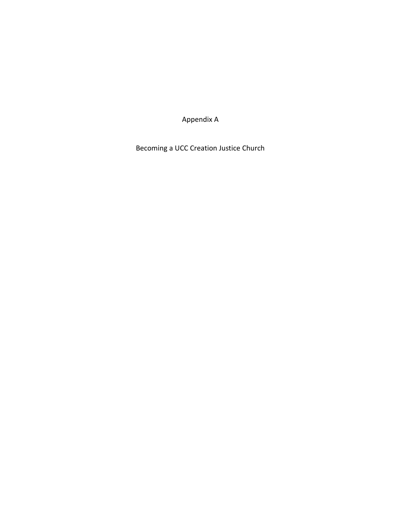Appendix A

Becoming a UCC Creation Justice Church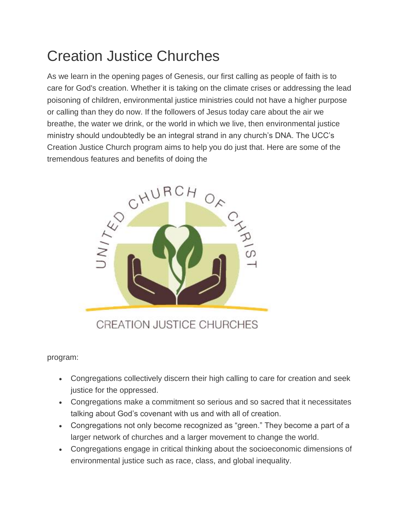# Creation Justice Churches

As we learn in the opening pages of Genesis, our first calling as people of faith is to care for God's creation. Whether it is taking on the climate crises or addressing the lead poisoning of children, environmental justice ministries could not have a higher purpose or calling than they do now. If the followers of Jesus today care about the air we breathe, the water we drink, or the world in which we live, then environmental justice ministry should undoubtedly be an integral strand in any church's DNA. The UCC's Creation Justice Church program aims to help you do just that. Here are some of the



**CREATION JUSTICE CHURCHES** 

program:

- Congregations collectively discern their high calling to care for creation and seek justice for the oppressed.
- Congregations make a commitment so serious and so sacred that it necessitates talking about God's covenant with us and with all of creation.
- Congregations not only become recognized as "green." They become a part of a larger network of churches and a larger movement to change the world.
- Congregations engage in critical thinking about the socioeconomic dimensions of environmental justice such as race, class, and global inequality.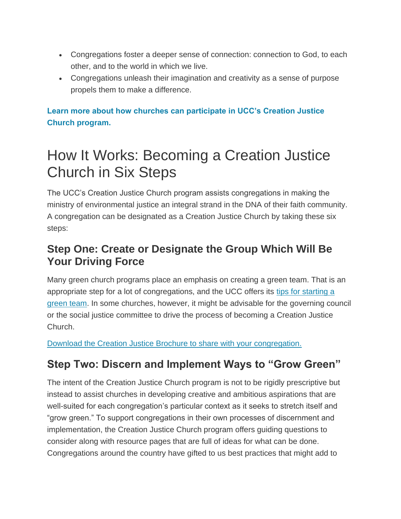- Congregations foster a deeper sense of connection: connection to God, to each other, and to the world in which we live.
- Congregations unleash their imagination and creativity as a sense of purpose propels them to make a difference.

### **[Learn more about how churches can participate in UCC's Creation Justice](http://www.ucc.org/how_it_works_becoming_a_creation_justice_church)  [Church program.](http://www.ucc.org/how_it_works_becoming_a_creation_justice_church)**

# How It Works: Becoming a Creation Justice Church in Six Steps

The UCC's Creation Justice Church program assists congregations in making the ministry of environmental justice an integral strand in the DNA of their faith community. A congregation can be designated as a Creation Justice Church by taking these six steps:

### **Step One: Create or Designate the Group Which Will Be Your Driving Force**

Many green church programs place an emphasis on creating a green team. That is an appropriate step for a lot of congregations, and the UCC offers its [tips for starting a](http://www.ucc.org/green_team_tips)  [green team.](http://www.ucc.org/green_team_tips) In some churches, however, it might be advisable for the governing council or the social justice committee to drive the process of becoming a Creation Justice Church.

[Download the Creation Justice Brochure to share with your congregation.](http://www.uccfiles.com/pdf/CreationJusticeBrochure.pdf)

# **Step Two: Discern and Implement Ways to "Grow Green"**

The intent of the Creation Justice Church program is not to be rigidly prescriptive but instead to assist churches in developing creative and ambitious aspirations that are well-suited for each congregation's particular context as it seeks to stretch itself and "grow green." To support congregations in their own processes of discernment and implementation, the Creation Justice Church program offers guiding questions to consider along with resource pages that are full of ideas for what can be done. Congregations around the country have gifted to us best practices that might add to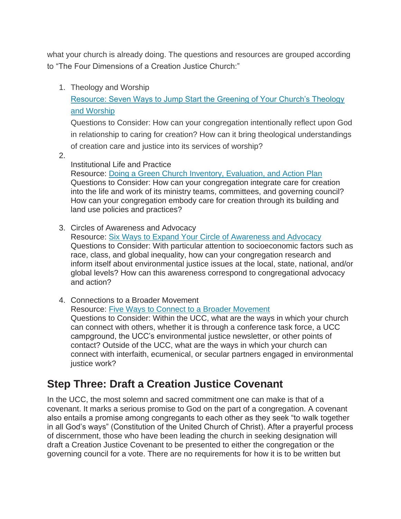what your church is already doing. The questions and resources are grouped according to "The Four Dimensions of a Creation Justice Church:"

1. Theology and Worship

[Resource: Seven Ways to Jump Start the Greening of Your Church's Theology](http://www.ucc.org/ways_to_jump_start_the_greening_of_your_church_s_theology_and_worship)  [and Worship](http://www.ucc.org/ways_to_jump_start_the_greening_of_your_church_s_theology_and_worship)

Questions to Consider: How can your congregation intentionally reflect upon God in relationship to caring for creation? How can it bring theological understandings of creation care and justice into its services of worship?

2.

Institutional Life and Practice

Resource: [Doing a Green Church Inventory, Evaluation, and Action Plan](http://www.ucc.org/green_church_inventory_evaluation_and_action_plan) Questions to Consider: How can your congregation integrate care for creation into the life and work of its ministry teams, committees, and governing council? How can your congregation embody care for creation through its building and land use policies and practices?

3. Circles of Awareness and Advocacy

Resource: [Six Ways to Expand Your Circle of Awareness and Advocacy](http://www.ucc.org/expand_your_circle_of_awareness_and_advocacy) Questions to Consider: With particular attention to socioeconomic factors such as race, class, and global inequality, how can your congregation research and inform itself about environmental justice issues at the local, state, national, and/or global levels? How can this awareness correspond to congregational advocacy and action?

4. Connections to a Broader Movement Resource: [Five Ways to Connect to a Broader Movement](http://www.ucc.org/connect_to_a_broader_movement) Questions to Consider: Within the UCC, what are the ways in which your church can connect with others, whether it is through a conference task force, a UCC campground, the UCC's environmental justice newsletter, or other points of contact? Outside of the UCC, what are the ways in which your church can connect with interfaith, ecumenical, or secular partners engaged in environmental justice work?

### **Step Three: Draft a Creation Justice Covenant**

In the UCC, the most solemn and sacred commitment one can make is that of a covenant. It marks a serious promise to God on the part of a congregation. A covenant also entails a promise among congregants to each other as they seek "to walk together in all God's ways" (Constitution of the United Church of Christ). After a prayerful process of discernment, those who have been leading the church in seeking designation will draft a Creation Justice Covenant to be presented to either the congregation or the governing council for a vote. There are no requirements for how it is to be written but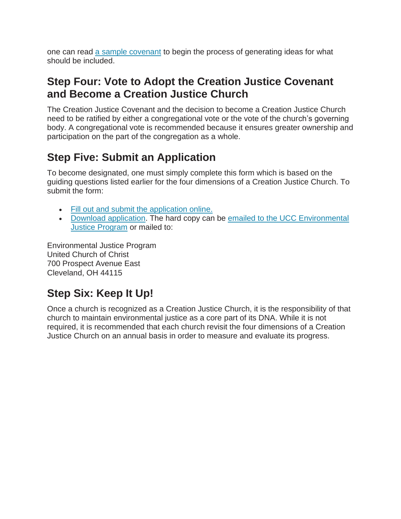one can read [a sample covenant](http://www.ucc.org/creation_justice_covenant) to begin the process of generating ideas for what should be included.

### **Step Four: Vote to Adopt the Creation Justice Covenant and Become a Creation Justice Church**

The Creation Justice Covenant and the decision to become a Creation Justice Church need to be ratified by either a congregational vote or the vote of the church's governing body. A congregational vote is recommended because it ensures greater ownership and participation on the part of the congregation as a whole.

## **Step Five: Submit an Application**

To become designated, one must simply complete this form which is based on the guiding questions listed earlier for the four dimensions of a Creation Justice Church. To submit the form:

- [Fill out and submit the application online.](http://www.123contactform.com/form-1877258/Creation-Justice-Church-Application)
- [Download application.](http://www.uccfiles.com/CreationJusticeApplication.rtf) The hard copy can be [emailed to the UCC Environmental](mailto:ecojustice@ucc.org)  [Justice Program](mailto:ecojustice@ucc.org) or mailed to:

Environmental Justice Program United Church of Christ 700 Prospect Avenue East Cleveland, OH 44115

# **Step Six: Keep It Up!**

Once a church is recognized as a Creation Justice Church, it is the responsibility of that church to maintain environmental justice as a core part of its DNA. While it is not required, it is recommended that each church revisit the four dimensions of a Creation Justice Church on an annual basis in order to measure and evaluate its progress.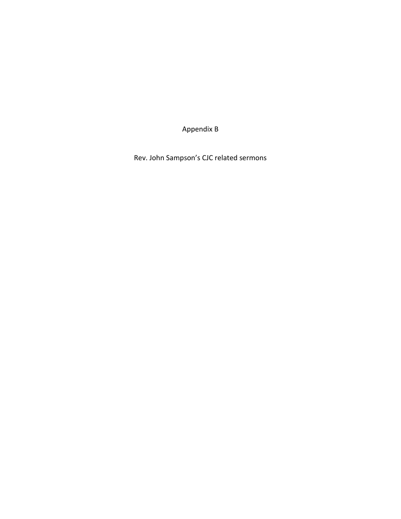Appendix B

Rev. John Sampson's CJC related sermons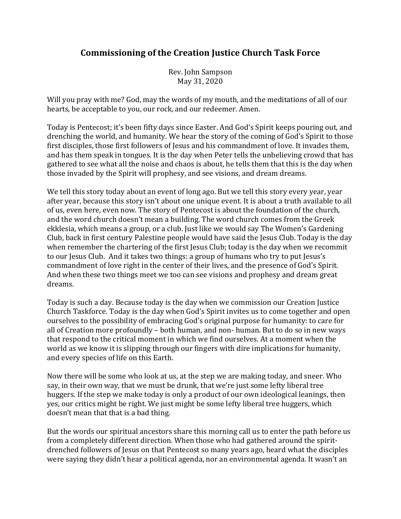### **Commissioning of the Creation Justice Church Task Force**

Rev. John Sampson May 31, 2020

Will you pray with me? God, may the words of my mouth, and the meditations of all of our hearts, be acceptable to you, our rock, and our redeemer. Amen.

Today is Pentecost; it's been fifty days since Easter. And God's Spirit keeps pouring out, and drenching the world, and humanity. We hear the story of the coming of God's Spirit to those first disciples, those first followers of Jesus and his commandment of love. It invades them, and has them speak in tongues. It is the day when Peter tells the unbelieving crowd that has gathered to see what all the noise and chaos is about, he tells them that this is the day when those invaded by the Spirit will prophesy, and see visions, and dream dreams.

We tell this story today about an event of long ago. But we tell this story every year, year after year, because this story isn't about one unique event. It is about a truth available to all of us, even here, even now. The story of Pentecost is about the foundation of the church, and the word church doesn't mean a building. The word church comes from the Greek ekklesia, which means a group, or a club. Just like we would say The Women's Gardening Club, back in first century Palestine people would have said the Jesus Club. Today is the day when remember the chartering of the first Jesus Club; today is the day when we recommit to our Jesus Club. And it takes two things: a group of humans who try to put Jesus's commandment of love right in the center of their lives, and the presence of God's Spirit. And when these two things meet we too can see visions and prophesy and dream great dreams.

Today is such a day. Because today is the day when we commission our Creation Justice Church Taskforce. Today is the day when God's Spirit invites us to come together and open ourselves to the possibility of embracing God's original purpose for humanity: to care for all of Creation more profoundly – both human, and non- human. But to do so in new ways that respond to the critical moment in which we find ourselves. At a moment when the world as we know it is slipping through our fingers with dire implications for humanity, and every species of life on this Earth.

Now there will be some who look at us, at the step we are making today, and sneer. Who say, in their own way, that we must be drunk, that we're just some lefty liberal tree huggers. If the step we make today is only a product of our own ideological leanings, then yes, our critics might be right. We just might be some lefty liberal tree huggers, which doesn't mean that that is a bad thing.

But the words our spiritual ancestors share this morning call us to enter the path before us from a completely different direction. When those who had gathered around the spiritdrenched followers of Jesus on that Pentecost so many years ago, heard what the disciples were saying they didn't hear a political agenda, nor an environmental agenda. It wasn't an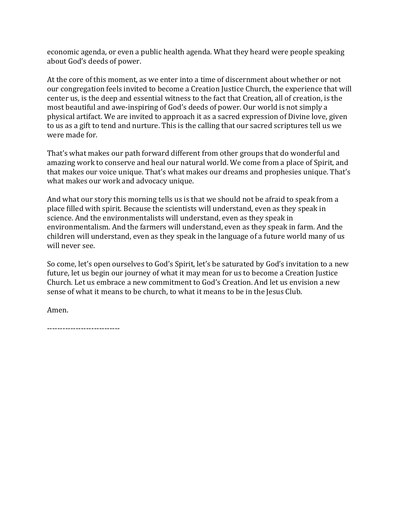economic agenda, or even a public health agenda. What they heard were people speaking about God's deeds of power.

At the core of this moment, as we enter into a time of discernment about whether or not our congregation feels invited to become a Creation Justice Church, the experience that will center us, is the deep and essential witness to the fact that Creation, all of creation, is the most beautiful and awe-inspiring of God's deeds of power. Our world is not simply a physical artifact. We are invited to approach it as a sacred expression of Divine love, given to us as a gift to tend and nurture. This is the calling that our sacred scriptures tell us we were made for.

That's what makes our path forward different from other groups that do wonderful and amazing work to conserve and heal our natural world. We come from a place of Spirit, and that makes our voice unique. That's what makes our dreams and prophesies unique. That's what makes our work and advocacy unique.

And what our story this morning tells us is that we should not be afraid to speak from a place filled with spirit. Because the scientists will understand, even as they speak in science. And the environmentalists will understand, even as they speak in environmentalism. And the farmers will understand, even as they speak in farm. And the children will understand, even as they speak in the language of a future world many of us will never see.

So come, let's open ourselves to God's Spirit, let's be saturated by God's invitation to a new future, let us begin our journey of what it may mean for us to become a Creation Justice Church. Let us embrace a new commitment to God's Creation. And let us envision a new sense of what it means to be church, to what it means to be in the Jesus Club.

Amen.

----------------------------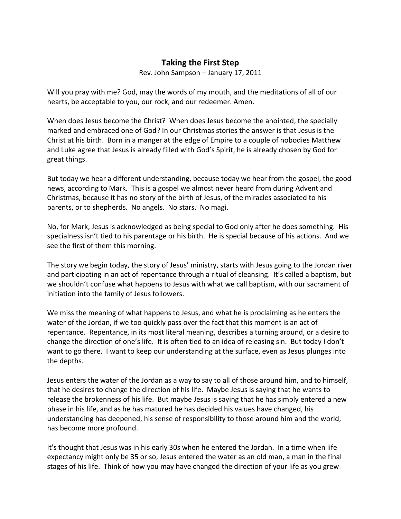#### **Taking the First Step**

Rev. John Sampson – January 17, 2011

Will you pray with me? God, may the words of my mouth, and the meditations of all of our hearts, be acceptable to you, our rock, and our redeemer. Amen.

When does Jesus become the Christ? When does Jesus become the anointed, the specially marked and embraced one of God? In our Christmas stories the answer is that Jesus is the Christ at his birth. Born in a manger at the edge of Empire to a couple of nobodies Matthew and Luke agree that Jesus is already filled with God's Spirit, he is already chosen by God for great things.

But today we hear a different understanding, because today we hear from the gospel, the good news, according to Mark. This is a gospel we almost never heard from during Advent and Christmas, because it has no story of the birth of Jesus, of the miracles associated to his parents, or to shepherds. No angels. No stars. No magi.

No, for Mark, Jesus is acknowledged as being special to God only after he does something. His specialness isn't tied to his parentage or his birth. He is special because of his actions. And we see the first of them this morning.

The story we begin today, the story of Jesus' ministry, starts with Jesus going to the Jordan river and participating in an act of repentance through a ritual of cleansing. It's called a baptism, but we shouldn't confuse what happens to Jesus with what we call baptism, with our sacrament of initiation into the family of Jesus followers.

We miss the meaning of what happens to Jesus, and what he is proclaiming as he enters the water of the Jordan, if we too quickly pass over the fact that this moment is an act of repentance. Repentance, in its most literal meaning, describes a turning around, or a desire to change the direction of one's life. It is often tied to an idea of releasing sin. But today I don't want to go there. I want to keep our understanding at the surface, even as Jesus plunges into the depths.

Jesus enters the water of the Jordan as a way to say to all of those around him, and to himself, that he desires to change the direction of his life. Maybe Jesus is saying that he wants to release the brokenness of his life. But maybe Jesus is saying that he has simply entered a new phase in his life, and as he has matured he has decided his values have changed, his understanding has deepened, his sense of responsibility to those around him and the world, has become more profound.

It's thought that Jesus was in his early 30s when he entered the Jordan. In a time when life expectancy might only be 35 or so, Jesus entered the water as an old man, a man in the final stages of his life. Think of how you may have changed the direction of your life as you grew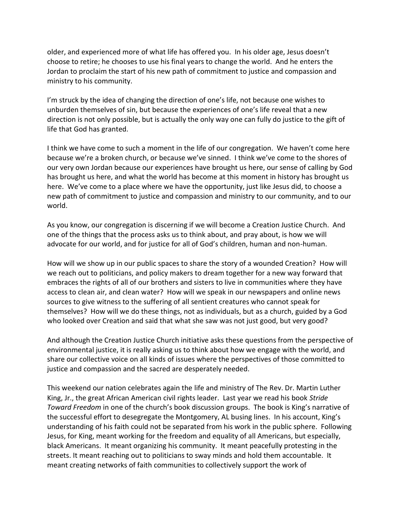older, and experienced more of what life has offered you. In his older age, Jesus doesn't choose to retire; he chooses to use his final years to change the world. And he enters the Jordan to proclaim the start of his new path of commitment to justice and compassion and ministry to his community.

I'm struck by the idea of changing the direction of one's life, not because one wishes to unburden themselves of sin, but because the experiences of one's life reveal that a new direction is not only possible, but is actually the only way one can fully do justice to the gift of life that God has granted.

I think we have come to such a moment in the life of our congregation. We haven't come here because we're a broken church, or because we've sinned. I think we've come to the shores of our very own Jordan because our experiences have brought us here, our sense of calling by God has brought us here, and what the world has become at this moment in history has brought us here. We've come to a place where we have the opportunity, just like Jesus did, to choose a new path of commitment to justice and compassion and ministry to our community, and to our world.

As you know, our congregation is discerning if we will become a Creation Justice Church. And one of the things that the process asks us to think about, and pray about, is how we will advocate for our world, and for justice for all of God's children, human and non-human.

How will we show up in our public spaces to share the story of a wounded Creation? How will we reach out to politicians, and policy makers to dream together for a new way forward that embraces the rights of all of our brothers and sisters to live in communities where they have access to clean air, and clean water? How will we speak in our newspapers and online news sources to give witness to the suffering of all sentient creatures who cannot speak for themselves? How will we do these things, not as individuals, but as a church, guided by a God who looked over Creation and said that what she saw was not just good, but very good?

And although the Creation Justice Church initiative asks these questions from the perspective of environmental justice, it is really asking us to think about how we engage with the world, and share our collective voice on all kinds of issues where the perspectives of those committed to justice and compassion and the sacred are desperately needed.

This weekend our nation celebrates again the life and ministry of The Rev. Dr. Martin Luther King, Jr., the great African American civil rights leader. Last year we read his book *Stride Toward Freedom* in one of the church's book discussion groups. The book is King's narrative of the successful effort to desegregate the Montgomery, AL busing lines. In his account, King's understanding of his faith could not be separated from his work in the public sphere. Following Jesus, for King, meant working for the freedom and equality of all Americans, but especially, black Americans. It meant organizing his community. It meant peacefully protesting in the streets. It meant reaching out to politicians to sway minds and hold them accountable. It meant creating networks of faith communities to collectively support the work of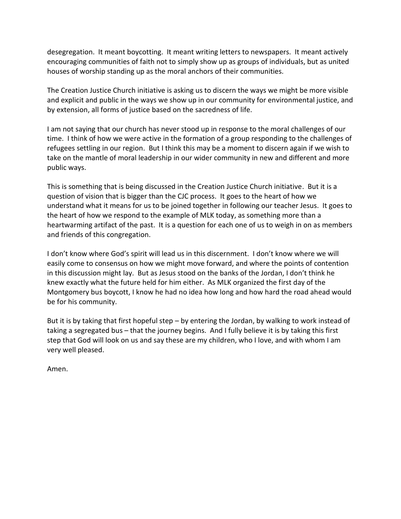desegregation. It meant boycotting. It meant writing letters to newspapers. It meant actively encouraging communities of faith not to simply show up as groups of individuals, but as united houses of worship standing up as the moral anchors of their communities.

The Creation Justice Church initiative is asking us to discern the ways we might be more visible and explicit and public in the ways we show up in our community for environmental justice, and by extension, all forms of justice based on the sacredness of life.

I am not saying that our church has never stood up in response to the moral challenges of our time. I think of how we were active in the formation of a group responding to the challenges of refugees settling in our region. But I think this may be a moment to discern again if we wish to take on the mantle of moral leadership in our wider community in new and different and more public ways.

This is something that is being discussed in the Creation Justice Church initiative. But it is a question of vision that is bigger than the CJC process. It goes to the heart of how we understand what it means for us to be joined together in following our teacher Jesus. It goes to the heart of how we respond to the example of MLK today, as something more than a heartwarming artifact of the past. It is a question for each one of us to weigh in on as members and friends of this congregation.

I don't know where God's spirit will lead us in this discernment. I don't know where we will easily come to consensus on how we might move forward, and where the points of contention in this discussion might lay. But as Jesus stood on the banks of the Jordan, I don't think he knew exactly what the future held for him either. As MLK organized the first day of the Montgomery bus boycott, I know he had no idea how long and how hard the road ahead would be for his community.

But it is by taking that first hopeful step – by entering the Jordan, by walking to work instead of taking a segregated bus – that the journey begins. And I fully believe it is by taking this first step that God will look on us and say these are my children, who I love, and with whom I am very well pleased.

Amen.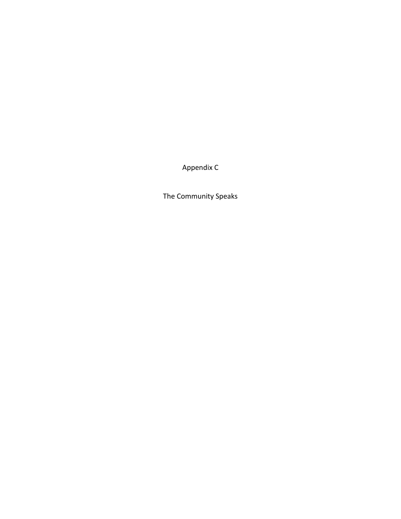Appendix C

The Community Speaks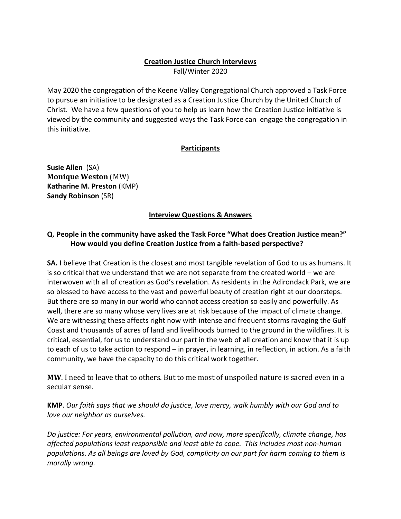#### **Creation Justice Church Interviews**

Fall/Winter 2020

May 2020 the congregation of the Keene Valley Congregational Church approved a Task Force to pursue an initiative to be designated as a Creation Justice Church by the United Church of Christ. We have a few questions of you to help us learn how the Creation Justice initiative is viewed by the community and suggested ways the Task Force can engage the congregation in this initiative.

#### **Participants**

**Susie Allen** (SA) **Monique Weston** (MW) **Katharine M. Preston** (KMP) **Sandy Robinson** (SR)

#### **Interview Questions & Answers**

#### **Q. People in the community have asked the Task Force "What does Creation Justice mean?" How would you define Creation Justice from a faith-based perspective?**

**SA.** I believe that Creation is the closest and most tangible revelation of God to us as humans. It is so critical that we understand that we are not separate from the created world – we are interwoven with all of creation as God's revelation. As residents in the Adirondack Park, we are so blessed to have access to the vast and powerful beauty of creation right at our doorsteps. But there are so many in our world who cannot access creation so easily and powerfully. As well, there are so many whose very lives are at risk because of the impact of climate change. We are witnessing these affects right now with intense and frequent storms ravaging the Gulf Coast and thousands of acres of land and livelihoods burned to the ground in the wildfires. It is critical, essential, for us to understand our part in the web of all creation and know that it is up to each of us to take action to respond – in prayer, in learning, in reflection, in action. As a faith community, we have the capacity to do this critical work together.

**MW**. I need to leave that to others. But to me most of unspoiled nature is sacred even in a secular sense.

**KMP**. *Our faith says that we should do justice, love mercy, walk humbly with our God and to love our neighbor as ourselves.*

*Do justice: For years, environmental pollution, and now, more specifically, climate change, has affected populations least responsible and least able to cope. This includes most non-human populations. As all beings are loved by God, complicity on our part for harm coming to them is morally wrong.*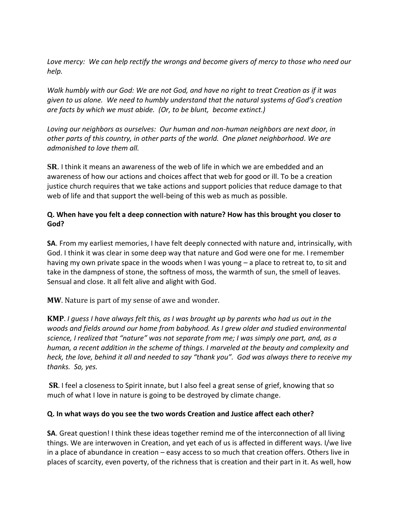*Love mercy: We can help rectify the wrongs and become givers of mercy to those who need our help.*

*Walk humbly with our God: We are not God, and have no right to treat Creation as if it was given to us alone. We need to humbly understand that the natural systems of God's creation are facts by which we must abide. (Or, to be blunt, become extinct.)* 

*Loving our neighbors as ourselves: Our human and non-human neighbors are next door, in other parts of this country, in other parts of the world. One planet neighborhood. We are admonished to love them all.* 

**SR**. I think it means an awareness of the web of life in which we are embedded and an awareness of how our actions and choices affect that web for good or ill. To be a creation justice church requires that we take actions and support policies that reduce damage to that web of life and that support the well-being of this web as much as possible.

#### **Q. When have you felt a deep connection with nature? How has this brought you closer to God?**

**SA**. From my earliest memories, I have felt deeply connected with nature and, intrinsically, with God. I think it was clear in some deep way that nature and God were one for me. I remember having my own private space in the woods when I was young – a place to retreat to, to sit and take in the dampness of stone, the softness of moss, the warmth of sun, the smell of leaves. Sensual and close. It all felt alive and alight with God.

**MW**. Nature is part of my sense of awe and wonder.

**KMP**. *I guess I have always felt this, as I was brought up by parents who had us out in the woods and fields around our home from babyhood. As I grew older and studied environmental science, I realized that "nature" was not separate from me; I was simply one part, and, as a human, a recent addition in the scheme of things. I marveled at the beauty and complexity and heck, the love, behind it all and needed to say "thank you". God was always there to receive my thanks. So, yes.* 

**SR**. I feel a closeness to Spirit innate, but I also feel a great sense of grief, knowing that so much of what I love in nature is going to be destroyed by climate change.

#### **Q. In what ways do you see the two words Creation and Justice affect each other?**

**SA**. Great question! I think these ideas together remind me of the interconnection of all living things. We are interwoven in Creation, and yet each of us is affected in different ways. I/we live in a place of abundance in creation – easy access to so much that creation offers. Others live in places of scarcity, even poverty, of the richness that is creation and their part in it. As well, how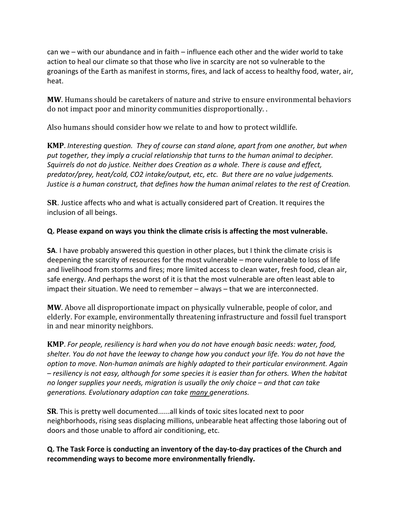can we – with our abundance and in faith – influence each other and the wider world to take action to heal our climate so that those who live in scarcity are not so vulnerable to the groanings of the Earth as manifest in storms, fires, and lack of access to healthy food, water, air, heat.

**MW**. Humans should be caretakers of nature and strive to ensure environmental behaviors do not impact poor and minority communities disproportionally. .

Also humans should consider how we relate to and how to protect wildlife.

**KMP**. *Interesting question. They of course can stand alone, apart from one another, but when put together, they imply a crucial relationship that turns to the human animal to decipher. Squirrels do not do justice. Neither does Creation as a whole. There is cause and effect, predator/prey, heat/cold, CO2 intake/output, etc, etc. But there are no value judgements. Justice is a human construct, that defines how the human animal relates to the rest of Creation.* 

**SR**. Justice affects who and what is actually considered part of Creation. It requires the inclusion of all beings.

#### **Q. Please expand on ways you think the climate crisis is affecting the most vulnerable.**

**SA**. I have probably answered this question in other places, but I think the climate crisis is deepening the scarcity of resources for the most vulnerable – more vulnerable to loss of life and livelihood from storms and fires; more limited access to clean water, fresh food, clean air, safe energy. And perhaps the worst of it is that the most vulnerable are often least able to impact their situation. We need to remember – always – that we are interconnected.

**MW**. Above all disproportionate impact on physically vulnerable, people of color, and elderly. For example, environmentally threatening infrastructure and fossil fuel transport in and near minority neighbors.

**KMP**. *For people, resiliency is hard when you do not have enough basic needs: water, food, shelter. You do not have the leeway to change how you conduct your life. You do not have the option to move. Non-human animals are highly adapted to their particular environment. Again – resiliency is not easy, although for some species it is easier than for others. When the habitat no longer supplies your needs, migration is usually the only choice – and that can take generations. Evolutionary adaption can take many generations.* 

**SR**. This is pretty well documented......all kinds of toxic sites located next to poor neighborhoods, rising seas displacing millions, unbearable heat affecting those laboring out of doors and those unable to afford air conditioning, etc.

**Q. The Task Force is conducting an inventory of the day-to-day practices of the Church and recommending ways to become more environmentally friendly.**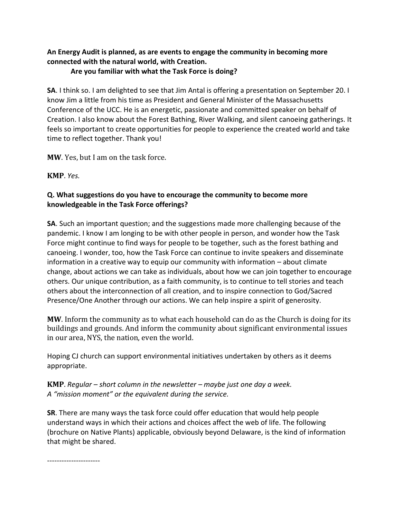### **An Energy Audit is planned, as are events to engage the community in becoming more connected with the natural world, with Creation.**

#### **Are you familiar with what the Task Force is doing?**

**SA**. I think so. I am delighted to see that Jim Antal is offering a presentation on September 20. I know Jim a little from his time as President and General Minister of the Massachusetts Conference of the UCC. He is an energetic, passionate and committed speaker on behalf of Creation. I also know about the Forest Bathing, River Walking, and silent canoeing gatherings. It feels so important to create opportunities for people to experience the created world and take time to reflect together. Thank you!

**MW**. Yes, but I am on the task force.

**KMP**. *Yes.* 

#### **Q. What suggestions do you have to encourage the community to become more knowledgeable in the Task Force offerings?**

**SA**. Such an important question; and the suggestions made more challenging because of the pandemic. I know I am longing to be with other people in person, and wonder how the Task Force might continue to find ways for people to be together, such as the forest bathing and canoeing. I wonder, too, how the Task Force can continue to invite speakers and disseminate information in a creative way to equip our community with information – about climate change, about actions we can take as individuals, about how we can join together to encourage others. Our unique contribution, as a faith community, is to continue to tell stories and teach others about the interconnection of all creation, and to inspire connection to God/Sacred Presence/One Another through our actions. We can help inspire a spirit of generosity.

**MW**. Inform the community as to what each household can do as the Church is doing for its buildings and grounds. And inform the community about significant environmental issues in our area, NYS, the nation, even the world.

Hoping CJ church can support environmental initiatives undertaken by others as it deems appropriate.

**KMP**. Regular – short column in the newsletter – maybe just one day a week. *A "mission moment" or the equivalent during the service.* 

**SR**. There are many ways the task force could offer education that would help people understand ways in which their actions and choices affect the web of life. The following (brochure on Native Plants) applicable, obviously beyond Delaware, is the kind of information that might be shared.

----------------------